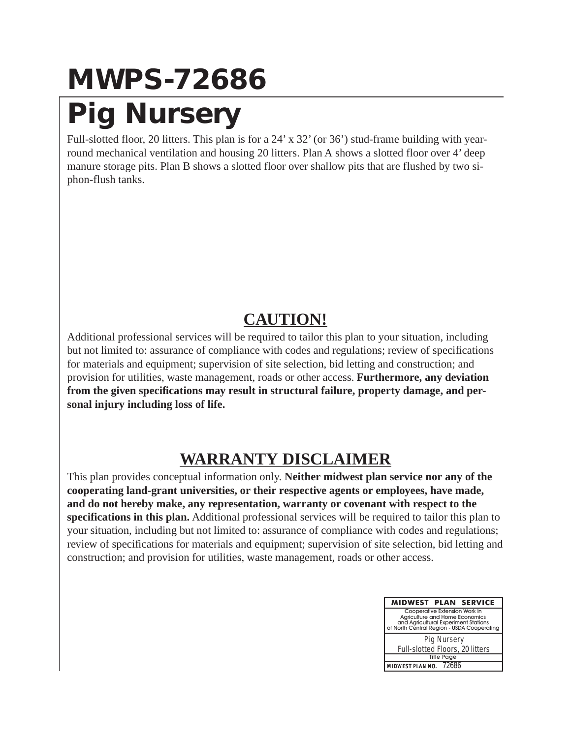#### **MWPS-72686 Pig Nursery**

Full-slotted floor, 20 litters. This plan is for a 24' x 32' (or 36') stud-frame building with yearround mechanical ventilation and housing 20 litters. Plan A shows a slotted floor over 4' deep manure storage pits. Plan B shows a slotted floor over shallow pits that are flushed by two siphon-flush tanks.

#### **CAUTION!**

Additional professional services will be required to tailor this plan to your situation, including but not limited to: assurance of compliance with codes and regulations; review of specifications for materials and equipment; supervision of site selection, bid letting and construction; and provision for utilities, waste management, roads or other access. **Furthermore, any deviation from the given specifications may result in structural failure, property damage, and personal injury including loss of life.**

#### **WARRANTY DISCLAIMER**

This plan provides conceptual information only. **Neither midwest plan service nor any of the cooperating land-grant universities, or their respective agents or employees, have made, and do not hereby make, any representation, warranty or covenant with respect to the specifications in this plan.** Additional professional services will be required to tailor this plan to your situation, including but not limited to: assurance of compliance with codes and regulations; review of specifications for materials and equipment; supervision of site selection, bid letting and construction; and provision for utilities, waste management, roads or other access.

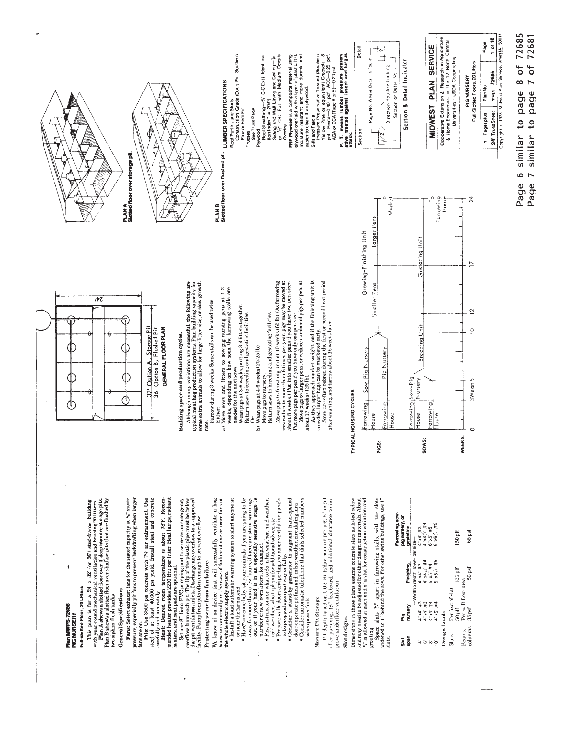

Plan MWPS-72686 PIG NURSERY

# Full-slotted Floor, 20 Litters

This plan is for a  $24 \times 32^\circ$  or  $36^\circ$ ) stud-frame building<br>with year-round mechanical ventilation and housing 20 littlets.<br>Plan B shows a slotted floor over studiow pits that are flushed by<br>Plan B shows a slotted floor

two siphon-flush tanks.

## **General Specifications**

**Fans:** Select exhaust fams for the stated capacity at  $V_a^*$  static pressure, especially pit fams to prevent backdrafting when larger fansare on.

**Pits:** Use 3500 psi concrete with  $7\%$  air entrainment. Use stee) of at least  $40,000$  psi yield. Install steel and concrete

carefully and accurately. Free stress contracts and accurate the street room temperature is about 79°F. Recommendance of the street from the street and accuracy of the street street from the heat amps, radiant

Set one B' diam. PVC pumping port to serve as an emergency<br>overflow from each pit. The lip of the plastic pipe must be below<br>the serve of the plastic pipe must be below<br>facility. Pump from pits often enough to prevent over

# Protecting swine from fan failure.

the whole electric supply system.<br>• Install a loud automatic warning system to alert anyone at We know of no device that will successfully ventilate a hog house automatically in the case of failure of one or more fans or

The mean the farmational contribution and a system of an experiment the system of the system of the system of  $\mathbf{B}$  and  $\mathbf{B}$  are computed by the system of  $\mathbf{B}$  and  $\mathbf{B}$  are computed by the system of  $\mathbf{B}$ 

 $\frac{3}{4}$ 

when power fails

### Manure Pit Storage

I'll depth based on 0.0.5 on fiday manure per pig, 6" in pit after pumping, 18" freeboard, and additional clearance to improve underfloor ventilation

### Slat designs

Dimensions in these plans assume concrete slats as listed below<br>and may need to be adjusted for other design or materials. About<br> $Y_L$  is allowed at each end of a slat for construction variation and

grouting<br>Space slats "," apart in farrowing stalls, with the slots<br>widened to I" behind the sows. For other swine buildings, use I" ilots

| ရှိ<br>နှ<br>ああ | nursery<br>ត្ត       | Finishing                            | Farrowing, sow-<br>pig nursery, or<br>gestation |
|-----------------|----------------------|--------------------------------------|-------------------------------------------------|
|                 |                      | -Width x depth, lower bar size-      |                                                 |
|                 | $4^{4}$ $4^{4}$ $#3$ | $4'$ x4 $4'$                         | $4^{4}$ $\times$ $4^{4}$ $\times$ $4^{5}$       |
| ە               | $4^{4}$ $4^{7}$ $43$ | $4^{\circ} \times 4 / 2^{\circ}$ .#4 | 4"x4%"#4                                        |
| $\infty$        | 4.44.44              | $5' \times 5'$ #4                    | 6"x5"#5                                         |
| $\overline{a}$  | $4^{\circ}$ x5 $4$   | $5'' \times 5' / 2 \times 5$         | $6°x6$ % $45$                                   |
| Design Loads    |                      |                                      |                                                 |
| Slats           | Per foot of slat     |                                      |                                                 |
|                 | $50$ plf             | $100$ plf                            | 150 plf                                         |
| Beam,           | Persq ft floor area  |                                      |                                                 |
| columns         | 35 psf               | 50 <sub>psf</sub>                    | 65 psf                                          |

Page 7 similar to page 7 of 72681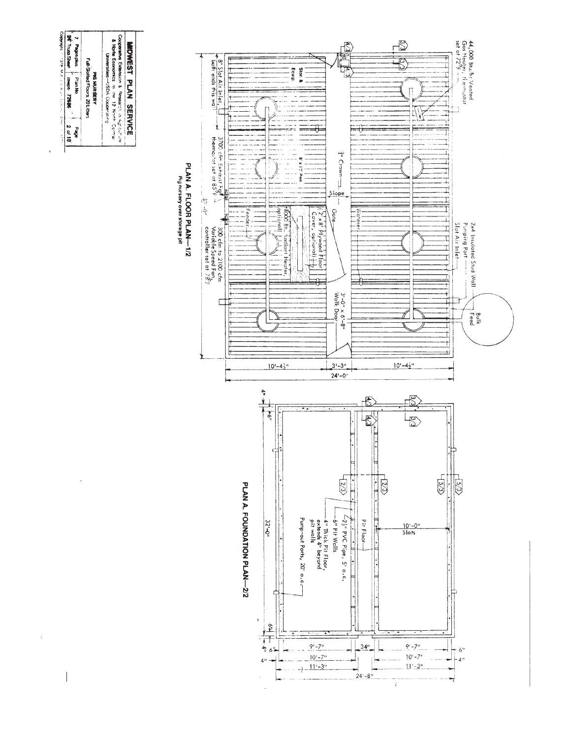| General Economics in ite 12 Next Central<br>Universities-JSDA Cocoer at reg<br>Full-Stotted Floors, 20 Litters<br><b>PRO NURSERY</b><br>ow unid<br>abe <sub>d</sub> | <b>SNT Trues Sheet</b><br>7 Pagespice<br>mmos 77686 |
|---------------------------------------------------------------------------------------------------------------------------------------------------------------------|-----------------------------------------------------|
|                                                                                                                                                                     |                                                     |
| Cooperative Extension & Research in Agriculture                                                                                                                     |                                                     |

 $\bar{\rm v}$ 

 $\ddot{\rm s}$ 

 $\overline{\phantom{a}}$ 

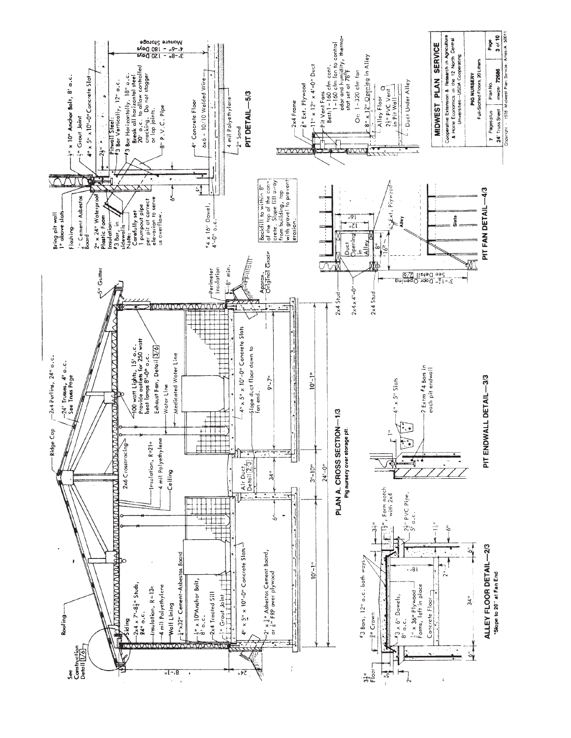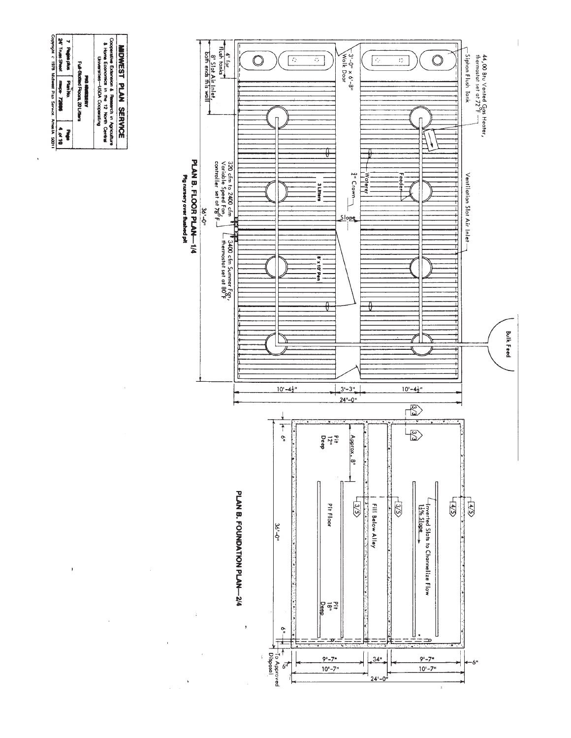

 $\bar{1}$ 

 $\bar{z}$ 

 $\ddot{\phantom{a}}$ 

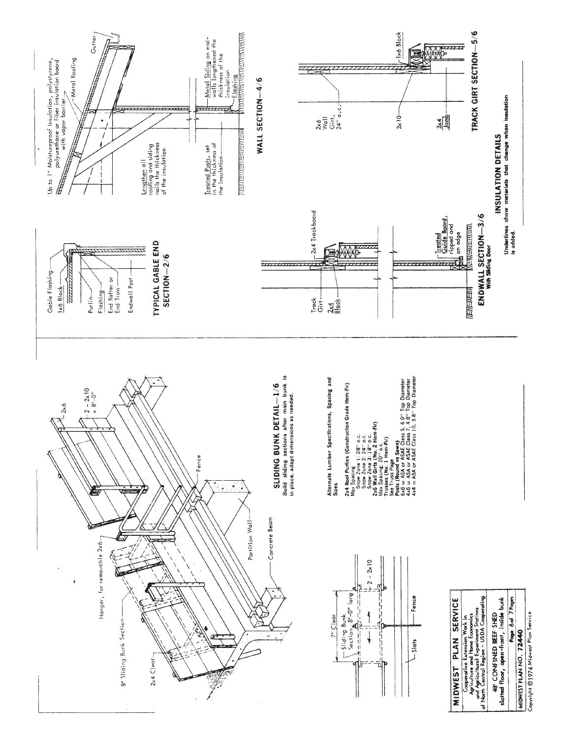

MIDWEST PLAN NO. 72440

Copyright ©1974 Midwest Plan Service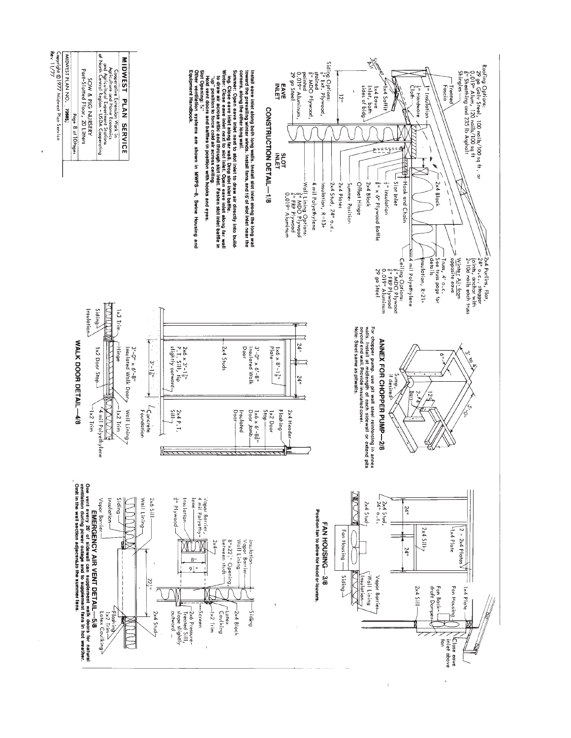

i.